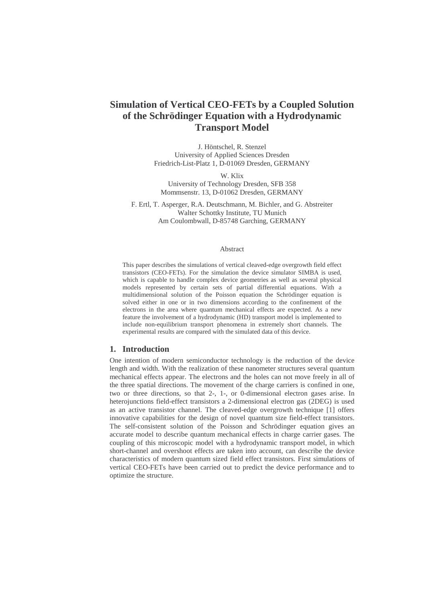# **Simulation of Vertical CEO-FETs by a Coupled Solution of the Schrödinger Equation with a Hydrodynamic Transport Model**

J. Höntschel, R. Stenzel University of Applied Sciences Dresden Friedrich-List-Platz 1, D-01069 Dresden, GERMANY

W. Klix

University of Technology Dresden, SFB 358 Mommsenstr. 13, D-01062 Dresden, GERMANY

F. Ertl, T. Asperger, R.A. Deutschmann, M. Bichler, and G. Abstreiter Walter Schottky Institute, TU Munich Am Coulombwall, D-85748 Garching, GERMANY

#### Abstract

This paper describes the simulations of vertical cleaved-edge overgrowth field effect transistors (CEO-FETs). For the simulation the device simulator SIMBA is used, which is capable to handle complex device geometries as well as several physical models represented by certain sets of partial differential equations. With a multidimensional solution of the Poisson equation the Schrödinger equation is solved either in one or in two dimensions according to the confinement of the electrons in the area where quantum mechanical effects are expected. As a new feature the involvement of a hydrodynamic (HD) transport model is implemented to include non-equilibrium transport phenomena in extremely short channels. The experimental results are compared with the simulated data of this device.

#### **1. Introduction**

One intention of modern semiconductor technology is the reduction of the device length and width. With the realization of these nanometer structures several quantum mechanical effects appear. The electrons and the holes can not move freely in all of the three spatial directions. The movement of the charge carriers is confined in one, two or three directions, so that 2-, 1-, or 0-dimensional electron gases arise. In heterojunctions field-effect transistors a 2-dimensional electron gas (2DEG) is used as an active transistor channel. The cleaved-edge overgrowth technique [1] offers innovative capabilities for the design of novel quantum size field-effect transistors. The self-consistent solution of the Poisson and Schrödinger equation gives an accurate model to describe quantum mechanical effects in charge carrier gases. The coupling of this microscopic model with a hydrodynamic transport model, in which short-channel and overshoot effects are taken into account, can describe the device characteristics of modern quantum sized field effect transistors. First simulations of vertical CEO-FETs have been carried out to predict the device performance and to optimize the structure.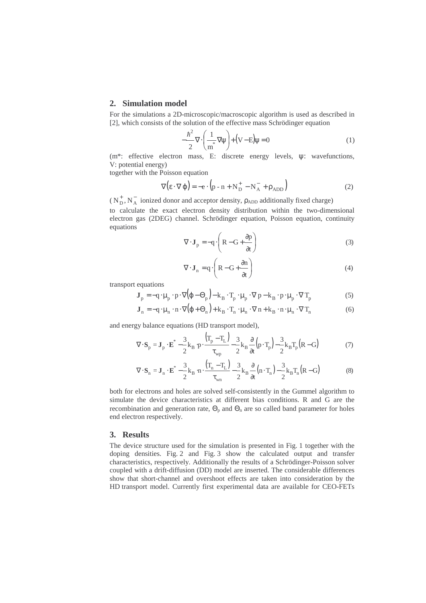#### **2. Simulation model**

For the simulations a 2D-microscopic/macroscopic algorithm is used as described in [2], which consists of the solution of the effective mass Schrödinger equation

$$
-\frac{\hbar^2}{2}\nabla\cdot\left(\frac{1}{m^*}\nabla\psi\right) + \left(V - E\right)\psi = 0\tag{1}
$$

(m\*: effective electron mass, E: discrete energy levels, ψ: wavefunctions, V: potential energy)

together with the Poisson equation

$$
\nabla (\varepsilon \cdot \nabla \varphi) = -e \cdot (p - n + N_{\rm D}^+ - N_{\rm A}^- + \rho_{\rm ADD})
$$
 (2)

( $N_D^+$ ,  $N_A^-$  ionized donor and acceptor density,  $\rho_{\rm ADD}$  additionally fixed charge)

to calculate the exact electron density distribution within the two-dimensional electron gas (2DEG) channel. Schrödinger equation, Poisson equation, continuity equations

$$
\nabla \cdot \mathbf{J}_p = -q \cdot \left( R - G + \frac{\partial p}{\partial t} \right)
$$
 (3)

$$
\nabla \cdot \mathbf{J}_n = q \cdot \left( R - G + \frac{\partial n}{\partial t} \right)
$$
 (4)

transport equations

$$
\mathbf{J}_p = -q \cdot \mu_p \cdot p \cdot \nabla (\varphi - \Theta_p) - k_B \cdot T_p \cdot \mu_p \cdot \nabla p - k_B \cdot p \cdot \mu_p \cdot \nabla T_p \tag{5}
$$

$$
\mathbf{J}_n = -\mathbf{q} \cdot \boldsymbol{\mu}_n \cdot \mathbf{n} \cdot \nabla (\varphi + \Theta_n) + \mathbf{k}_B \cdot \mathbf{T}_n \cdot \boldsymbol{\mu}_n \cdot \nabla \mathbf{n} + \mathbf{k}_B \cdot \mathbf{n} \cdot \boldsymbol{\mu}_n \cdot \nabla \mathbf{T}_n
$$
 (6)

and energy balance equations (HD transport model),

$$
\nabla \cdot \mathbf{S}_{p} = \mathbf{J}_{p} \cdot \mathbf{E}^{*} - \frac{3}{2} \mathbf{k}_{B} \cdot \mathbf{p} \cdot \frac{\left(\mathbf{T}_{p} - \mathbf{T}_{L}\right)}{\tau_{wp}} - \frac{3}{2} \mathbf{k}_{B} \frac{\partial}{\partial t} \left(\mathbf{p} \cdot \mathbf{T}_{p}\right) - \frac{3}{2} \mathbf{k}_{B} \mathbf{T}_{p} \left(\mathbf{R} - \mathbf{G}\right)
$$
(7)

$$
\nabla \cdot \mathbf{S}_n = \mathbf{J}_n \cdot \mathbf{E}^* - \frac{3}{2} \mathbf{k}_B \cdot \mathbf{n} \cdot \frac{\left(\mathbf{T}_n - \mathbf{T}_L\right)}{\tau_{wn}} - \frac{3}{2} \mathbf{k}_B \frac{\partial}{\partial t} \left(\mathbf{n} \cdot \mathbf{T}_n\right) - \frac{3}{2} \mathbf{k}_B \mathbf{T}_n \left(\mathbf{R} - \mathbf{G}\right)
$$
(8)

both for electrons and holes are solved self-consistently in the Gummel algorithm to simulate the device characteristics at different bias conditions. R and G are the recombination and generation rate,  $\Theta_p$  and  $\Theta_n$  are so called band parameter for holes end electron respectively.

### **3. Results**

The device structure used for the simulation is presented in Fig. 1 together with the doping densities. Fig. 2 and Fig. 3 show the calculated output and transfer characteristics, respectively. Additionally the results of a Schrödinger-Poisson solver coupled with a drift-diffusion (DD) model are inserted. The considerable differences show that short-channel and overshoot effects are taken into consideration by the HD transport model. Currently first experimental data are available for CEO-FETs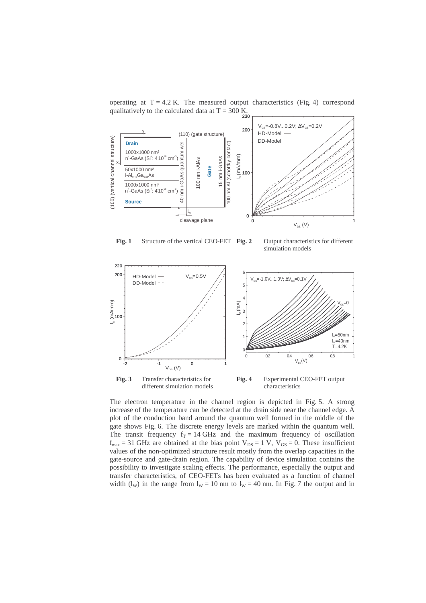

operating at  $T = 4.2$  K. The measured output characteristics (Fig. 4) correspond

**Fig. 1** Structure of the vertical CEO-FET **Fig. 2** Output characteristics for different

simulation models



different simulation models



The electron temperature in the channel region is depicted in Fig. 5. A strong increase of the temperature can be detected at the drain side near the channel edge. A plot of the conduction band around the quantum well formed in the middle of the gate shows Fig. 6. The discrete energy levels are marked within the quantum well. The transit frequency  $f_T = 14 \text{ GHz}$  and the maximum frequency of oscillation  $f_{\text{max}} = 31$  GHz are obtained at the bias point  $V_{DS} = 1$  V,  $V_{GS} = 0$ . These insufficient values of the non-optimized structure result mostly from the overlap capacities in the gate-source and gate-drain region. The capability of device simulation contains the possibility to investigate scaling effects. The performance, especially the output and transfer characteristics, of CEO-FETs has been evaluated as a function of channel width (l<sub>W</sub>) in the range from  $l_W = 10$  nm to  $l_W = 40$  nm. In Fig. 7 the output and in